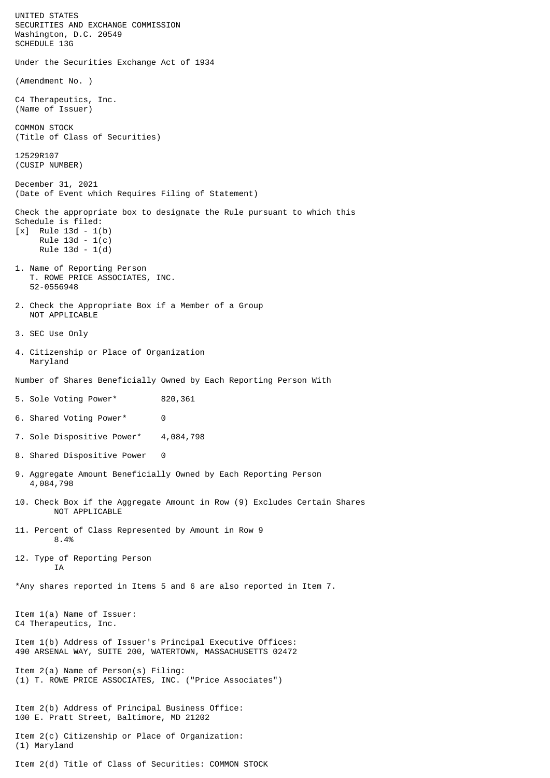UNITED STATES SECURITIES AND EXCHANGE COMMISSION Washington, D.C. 20549 SCHEDULE 13G Under the Securities Exchange Act of 1934 (Amendment No. ) C4 Therapeutics, Inc. (Name of Issuer) COMMON STOCK (Title of Class of Securities) 12529R107 (CUSIP NUMBER) December 31, 2021 (Date of Event which Requires Filing of Statement) Check the appropriate box to designate the Rule pursuant to which this Schedule is filed: [x] Rule 13d - 1(b) Rule 13d - 1(c) Rule 13d - 1(d) 1. Name of Reporting Person T. ROWE PRICE ASSOCIATES, INC. 52-0556948 2. Check the Appropriate Box if a Member of a Group NOT APPLICABLE 3. SEC Use Only 4. Citizenship or Place of Organization Maryland Number of Shares Beneficially Owned by Each Reporting Person With 5. Sole Voting Power\* 820,361 6. Shared Voting Power\* 0 7. Sole Dispositive Power\* 4,084,798 8. Shared Dispositive Power 0 9. Aggregate Amount Beneficially Owned by Each Reporting Person 4,084,798 10. Check Box if the Aggregate Amount in Row (9) Excludes Certain Shares NOT APPLICABLE 11. Percent of Class Represented by Amount in Row 9 8.4% 12. Type of Reporting Person **TA** \*Any shares reported in Items 5 and 6 are also reported in Item 7. Item 1(a) Name of Issuer: C4 Therapeutics, Inc. Item 1(b) Address of Issuer's Principal Executive Offices: 490 ARSENAL WAY, SUITE 200, WATERTOWN, MASSACHUSETTS 02472 Item 2(a) Name of Person(s) Filing: (1) T. ROWE PRICE ASSOCIATES, INC. ("Price Associates") Item 2(b) Address of Principal Business Office: 100 E. Pratt Street, Baltimore, MD 21202 Item 2(c) Citizenship or Place of Organization: (1) Maryland

Item 2(d) Title of Class of Securities: COMMON STOCK